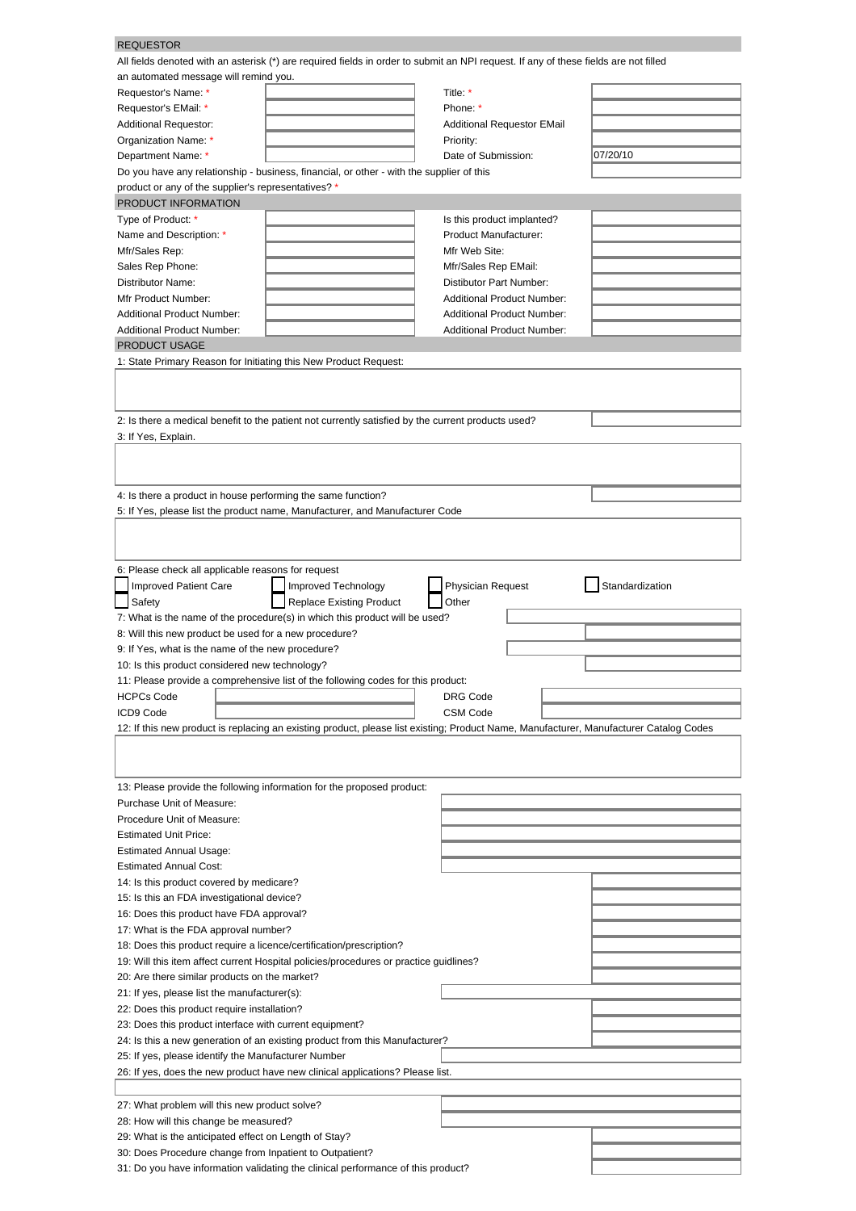| <b>REQUESTOR</b>                                                                                                                       |                                 |                                   |  |                 |  |
|----------------------------------------------------------------------------------------------------------------------------------------|---------------------------------|-----------------------------------|--|-----------------|--|
| All fields denoted with an asterisk (*) are required fields in order to submit an NPI request. If any of these fields are not filled   |                                 |                                   |  |                 |  |
| an automated message will remind you.                                                                                                  |                                 |                                   |  |                 |  |
| Requestor's Name: *                                                                                                                    |                                 | Title: *                          |  |                 |  |
| Requestor's EMail: *                                                                                                                   |                                 | Phone: *                          |  |                 |  |
| <b>Additional Requestor:</b>                                                                                                           |                                 | <b>Additional Requestor EMail</b> |  |                 |  |
| Organization Name: *                                                                                                                   |                                 | Priority:                         |  |                 |  |
| Department Name: *                                                                                                                     |                                 | Date of Submission:               |  | 07/20/10        |  |
| Do you have any relationship - business, financial, or other - with the supplier of this                                               |                                 |                                   |  |                 |  |
| product or any of the supplier's representatives? *                                                                                    |                                 |                                   |  |                 |  |
| PRODUCT INFORMATION                                                                                                                    |                                 |                                   |  |                 |  |
| Type of Product: *                                                                                                                     |                                 | Is this product implanted?        |  |                 |  |
| Name and Description: *                                                                                                                |                                 | Product Manufacturer:             |  |                 |  |
| Mfr/Sales Rep:                                                                                                                         |                                 | Mfr Web Site:                     |  |                 |  |
| Sales Rep Phone:                                                                                                                       |                                 | Mfr/Sales Rep EMail:              |  |                 |  |
| Distributor Name:                                                                                                                      |                                 | Distibutor Part Number:           |  |                 |  |
| Mfr Product Number:                                                                                                                    |                                 | <b>Additional Product Number:</b> |  |                 |  |
| <b>Additional Product Number:</b>                                                                                                      |                                 | <b>Additional Product Number:</b> |  |                 |  |
| Additional Product Number:                                                                                                             |                                 | <b>Additional Product Number:</b> |  |                 |  |
| <b>PRODUCT USAGE</b>                                                                                                                   |                                 |                                   |  |                 |  |
| 1: State Primary Reason for Initiating this New Product Request:                                                                       |                                 |                                   |  |                 |  |
|                                                                                                                                        |                                 |                                   |  |                 |  |
|                                                                                                                                        |                                 |                                   |  |                 |  |
| 2: Is there a medical benefit to the patient not currently satisfied by the current products used?                                     |                                 |                                   |  |                 |  |
| 3: If Yes, Explain.                                                                                                                    |                                 |                                   |  |                 |  |
|                                                                                                                                        |                                 |                                   |  |                 |  |
|                                                                                                                                        |                                 |                                   |  |                 |  |
|                                                                                                                                        |                                 |                                   |  |                 |  |
| 4: Is there a product in house performing the same function?                                                                           |                                 |                                   |  |                 |  |
| 5: If Yes, please list the product name, Manufacturer, and Manufacturer Code                                                           |                                 |                                   |  |                 |  |
|                                                                                                                                        |                                 |                                   |  |                 |  |
|                                                                                                                                        |                                 |                                   |  |                 |  |
| 6: Please check all applicable reasons for request                                                                                     |                                 |                                   |  |                 |  |
| <b>Improved Patient Care</b>                                                                                                           | Improved Technology             | <b>Physician Request</b>          |  | Standardization |  |
| Safety                                                                                                                                 | <b>Replace Existing Product</b> | Other                             |  |                 |  |
| 7: What is the name of the procedure(s) in which this product will be used?                                                            |                                 |                                   |  |                 |  |
| 8: Will this new product be used for a new procedure?                                                                                  |                                 |                                   |  |                 |  |
| 9: If Yes, what is the name of the new procedure?                                                                                      |                                 |                                   |  |                 |  |
| 10: Is this product considered new technology?                                                                                         |                                 |                                   |  |                 |  |
| 11: Please provide a comprehensive list of the following codes for this product:                                                       |                                 |                                   |  |                 |  |
| <b>HCPCs Code</b>                                                                                                                      |                                 | DRG Code                          |  |                 |  |
| ICD9 Code                                                                                                                              |                                 | <b>CSM Code</b>                   |  |                 |  |
| 12: If this new product is replacing an existing product, please list existing; Product Name, Manufacturer, Manufacturer Catalog Codes |                                 |                                   |  |                 |  |
|                                                                                                                                        |                                 |                                   |  |                 |  |
|                                                                                                                                        |                                 |                                   |  |                 |  |
|                                                                                                                                        |                                 |                                   |  |                 |  |
| 13: Please provide the following information for the proposed product:                                                                 |                                 |                                   |  |                 |  |
| Purchase Unit of Measure:                                                                                                              |                                 |                                   |  |                 |  |
| Procedure Unit of Measure:                                                                                                             |                                 |                                   |  |                 |  |
| <b>Estimated Unit Price:</b>                                                                                                           |                                 |                                   |  |                 |  |
| <b>Estimated Annual Usage:</b>                                                                                                         |                                 |                                   |  |                 |  |
| <b>Estimated Annual Cost:</b>                                                                                                          |                                 |                                   |  |                 |  |
| 14: Is this product covered by medicare?                                                                                               |                                 |                                   |  |                 |  |
| 15: Is this an FDA investigational device?                                                                                             |                                 |                                   |  |                 |  |
| 16: Does this product have FDA approval?                                                                                               |                                 |                                   |  |                 |  |
| 17: What is the FDA approval number?                                                                                                   |                                 |                                   |  |                 |  |
| 18: Does this product require a licence/certification/prescription?                                                                    |                                 |                                   |  |                 |  |
| 19: Will this item affect current Hospital policies/procedures or practice guidlines?                                                  |                                 |                                   |  |                 |  |
| 20: Are there similar products on the market?                                                                                          |                                 |                                   |  |                 |  |
| 21: If yes, please list the manufacturer(s):                                                                                           |                                 |                                   |  |                 |  |
| 22: Does this product require installation?                                                                                            |                                 |                                   |  |                 |  |
| 23: Does this product interface with current equipment?                                                                                |                                 |                                   |  |                 |  |
| 24: Is this a new generation of an existing product from this Manufacturer?                                                            |                                 |                                   |  |                 |  |
| 25: If yes, please identify the Manufacturer Number                                                                                    |                                 |                                   |  |                 |  |
| 26: If yes, does the new product have new clinical applications? Please list.                                                          |                                 |                                   |  |                 |  |
|                                                                                                                                        |                                 |                                   |  |                 |  |
| 27: What problem will this new product solve?                                                                                          |                                 |                                   |  |                 |  |
| 28: How will this change be measured?                                                                                                  |                                 |                                   |  |                 |  |
| 29: What is the anticipated effect on Length of Stay?<br>30: Does Procedure change from Inpatient to Outpatient?                       |                                 |                                   |  |                 |  |
|                                                                                                                                        |                                 |                                   |  |                 |  |
| 31: Do you have information validating the clinical performance of this product?                                                       |                                 |                                   |  |                 |  |